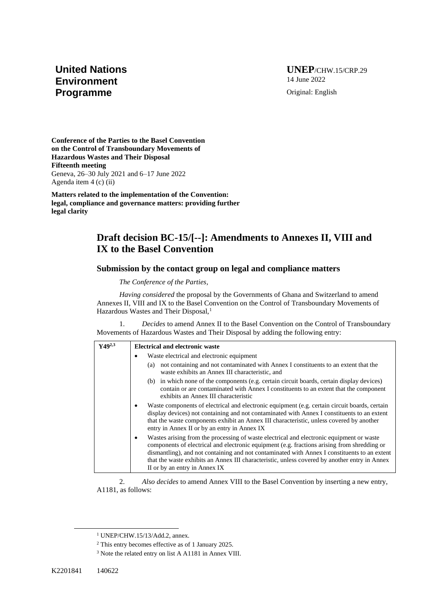## **United Nations Environment Programme**

**UNEP**/CHW.15/CRP.29 14 June 2022 Original: English

**Conference of the Parties to the Basel Convention on the Control of Transboundary Movements of Hazardous Wastes and Their Disposal Fifteenth meeting**  Geneva, 26–30 July 2021 and 6–17 June 2022 Agenda item 4 (c) (ii)

**Matters related to the implementation of the Convention: legal, compliance and governance matters: providing further legal clarity**

## **Draft decision BC-15/[--]: Amendments to Annexes II, VIII and IX to the Basel Convention**

## **Submission by the contact group on legal and compliance matters**

*The Conference of the Parties,*

*Having considered* the proposal by the Governments of Ghana and Switzerland to amend Annexes II, VIII and IX to the Basel Convention on the Control of Transboundary Movements of Hazardous Wastes and Their Disposal,<sup>1</sup>

1. *Decides* to amend Annex II to the Basel Convention on the Control of Transboundary Movements of Hazardous Wastes and Their Disposal by adding the following entry:

| $Y49^{2,3}$ | <b>Electrical and electronic waste</b>                                                                                                                                                                                                                                                                                                                                                                                    |
|-------------|---------------------------------------------------------------------------------------------------------------------------------------------------------------------------------------------------------------------------------------------------------------------------------------------------------------------------------------------------------------------------------------------------------------------------|
|             | Waste electrical and electronic equipment                                                                                                                                                                                                                                                                                                                                                                                 |
|             | not containing and not contaminated with Annex I constituents to an extent that the<br>(a)<br>waste exhibits an Annex III characteristic, and                                                                                                                                                                                                                                                                             |
|             | (b) in which none of the components (e.g. certain circuit boards, certain display devices)<br>contain or are contaminated with Annex I constituents to an extent that the component<br>exhibits an Annex III characteristic                                                                                                                                                                                               |
|             | Waste components of electrical and electronic equipment (e.g. certain circuit boards, certain<br>display devices) not containing and not contaminated with Annex I constituents to an extent<br>that the waste components exhibit an Annex III characteristic, unless covered by another<br>entry in Annex II or by an entry in Annex IX                                                                                  |
|             | Wastes arising from the processing of waste electrical and electronic equipment or waste<br>components of electrical and electronic equipment (e.g. fractions arising from shredding or<br>dismantling), and not containing and not contaminated with Annex I constituents to an extent<br>that the waste exhibits an Annex III characteristic, unless covered by another entry in Annex<br>II or by an entry in Annex IX |

2. *Also decides* to amend Annex VIII to the Basel Convention by inserting a new entry, A1181, as follows:

<sup>1</sup> UNEP/CHW.15/13/Add.2, annex.

<sup>2</sup> This entry becomes effective as of 1 January 2025.

<sup>3</sup> Note the related entry on list A A1181 in Annex VIII.